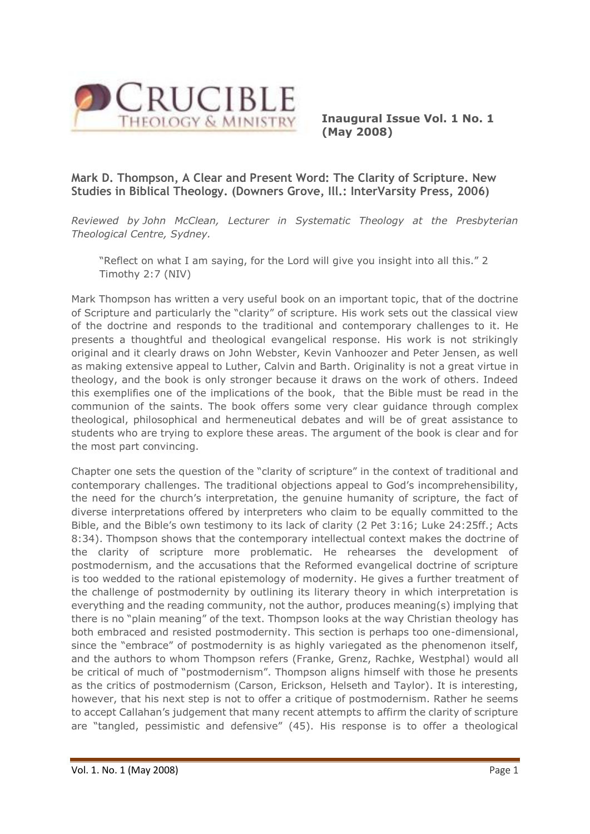

**Inaugural Issue Vol. 1 No. 1 (May 2008)**

## **Mark D. Thompson, A Clear and Present Word: The Clarity of Scripture. New Studies in Biblical Theology. (Downers Grove, Ill.: InterVarsity Press, 2006)**

*Reviewed by John McClean, Lecturer in Systematic Theology at the Presbyterian Theological Centre, Sydney.*

"Reflect on what I am saying, for the Lord will give you insight into all this." 2 Timothy 2:7 (NIV)

Mark Thompson has written a very useful book on an important topic, that of the doctrine of Scripture and particularly the "clarity" of scripture. His work sets out the classical view of the doctrine and responds to the traditional and contemporary challenges to it. He presents a thoughtful and theological evangelical response. His work is not strikingly original and it clearly draws on John Webster, Kevin Vanhoozer and Peter Jensen, as well as making extensive appeal to Luther, Calvin and Barth. Originality is not a great virtue in theology, and the book is only stronger because it draws on the work of others. Indeed this exemplifies one of the implications of the book, that the Bible must be read in the communion of the saints. The book offers some very clear guidance through complex theological, philosophical and hermeneutical debates and will be of great assistance to students who are trying to explore these areas. The argument of the book is clear and for the most part convincing.

Chapter one sets the question of the "clarity of scripture" in the context of traditional and contemporary challenges. The traditional objections appeal to God's incomprehensibility, the need for the church's interpretation, the genuine humanity of scripture, the fact of diverse interpretations offered by interpreters who claim to be equally committed to the Bible, and the Bible's own testimony to its lack of clarity (2 Pet 3:16; Luke 24:25ff.; Acts 8:34). Thompson shows that the contemporary intellectual context makes the doctrine of the clarity of scripture more problematic. He rehearses the development of postmodernism, and the accusations that the Reformed evangelical doctrine of scripture is too wedded to the rational epistemology of modernity. He gives a further treatment of the challenge of postmodernity by outlining its literary theory in which interpretation is everything and the reading community, not the author, produces meaning(s) implying that there is no "plain meaning" of the text. Thompson looks at the way Christian theology has both embraced and resisted postmodernity. This section is perhaps too one-dimensional, since the "embrace" of postmodernity is as highly variegated as the phenomenon itself, and the authors to whom Thompson refers (Franke, Grenz, Rachke, Westphal) would all be critical of much of "postmodernism". Thompson aligns himself with those he presents as the critics of postmodernism (Carson, Erickson, Helseth and Taylor). It is interesting, however, that his next step is not to offer a critique of postmodernism. Rather he seems to accept Callahan's judgement that many recent attempts to affirm the clarity of scripture are "tangled, pessimistic and defensive" (45). His response is to offer a theological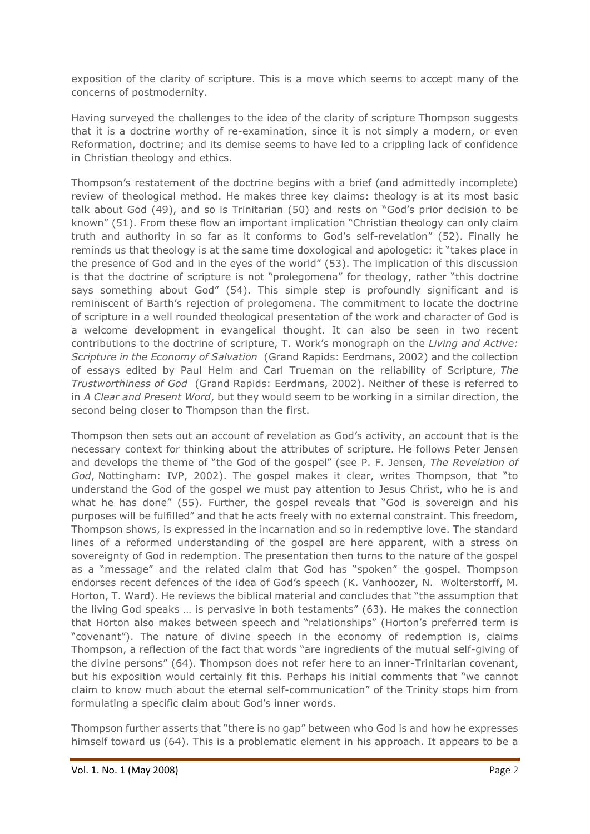exposition of the clarity of scripture. This is a move which seems to accept many of the concerns of postmodernity.

Having surveyed the challenges to the idea of the clarity of scripture Thompson suggests that it is a doctrine worthy of re-examination, since it is not simply a modern, or even Reformation, doctrine; and its demise seems to have led to a crippling lack of confidence in Christian theology and ethics.

Thompson's restatement of the doctrine begins with a brief (and admittedly incomplete) review of theological method. He makes three key claims: theology is at its most basic talk about God (49), and so is Trinitarian (50) and rests on "God's prior decision to be known" (51). From these flow an important implication "Christian theology can only claim truth and authority in so far as it conforms to God's self-revelation" (52). Finally he reminds us that theology is at the same time doxological and apologetic: it "takes place in the presence of God and in the eyes of the world" (53). The implication of this discussion is that the doctrine of scripture is not "prolegomena" for theology, rather "this doctrine says something about God" (54). This simple step is profoundly significant and is reminiscent of Barth's rejection of prolegomena. The commitment to locate the doctrine of scripture in a well rounded theological presentation of the work and character of God is a welcome development in evangelical thought. It can also be seen in two recent contributions to the doctrine of scripture, T. Work's monograph on the *Living and Active: Scripture in the Economy of Salvation* (Grand Rapids: Eerdmans, 2002) and the collection of essays edited by Paul Helm and Carl Trueman on the reliability of Scripture, *The Trustworthiness of God* (Grand Rapids: Eerdmans, 2002). Neither of these is referred to in *A Clear and Present Word*, but they would seem to be working in a similar direction, the second being closer to Thompson than the first.

Thompson then sets out an account of revelation as God's activity, an account that is the necessary context for thinking about the attributes of scripture. He follows Peter Jensen and develops the theme of "the God of the gospel" (see P. F. Jensen, *The Revelation of God*, Nottingham: IVP, 2002). The gospel makes it clear, writes Thompson, that "to understand the God of the gospel we must pay attention to Jesus Christ, who he is and what he has done" (55). Further, the gospel reveals that "God is sovereign and his purposes will be fulfilled" and that he acts freely with no external constraint. This freedom, Thompson shows, is expressed in the incarnation and so in redemptive love. The standard lines of a reformed understanding of the gospel are here apparent, with a stress on sovereignty of God in redemption. The presentation then turns to the nature of the gospel as a "message" and the related claim that God has "spoken" the gospel. Thompson endorses recent defences of the idea of God's speech (K. Vanhoozer, N. Wolterstorff, M. Horton, T. Ward). He reviews the biblical material and concludes that "the assumption that the living God speaks … is pervasive in both testaments" (63). He makes the connection that Horton also makes between speech and "relationships" (Horton's preferred term is "covenant"). The nature of divine speech in the economy of redemption is, claims Thompson, a reflection of the fact that words "are ingredients of the mutual self-giving of the divine persons" (64). Thompson does not refer here to an inner-Trinitarian covenant, but his exposition would certainly fit this. Perhaps his initial comments that "we cannot claim to know much about the eternal self-communication" of the Trinity stops him from formulating a specific claim about God's inner words.

Thompson further asserts that "there is no gap" between who God is and how he expresses himself toward us (64). This is a problematic element in his approach. It appears to be a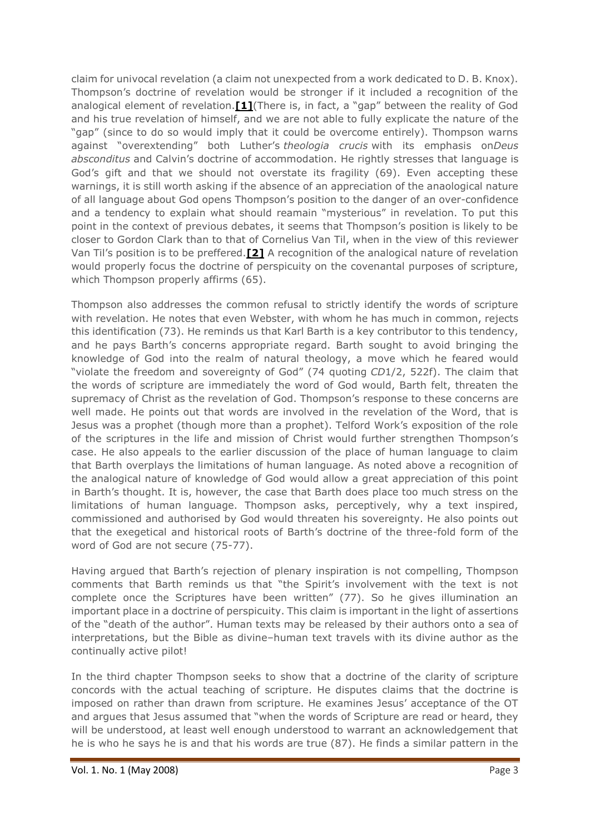claim for univocal revelation (a claim not unexpected from a work dedicated to D. B. Knox). Thompson's doctrine of revelation would be stronger if it included a recognition of the analogical element of revelation.**[\[1\]](http://www.ea.org.au/Crucible/Issues/Mark-Thompson--A-Clear-and-Present-Word#_ftn1)**(There is, in fact, a "gap" between the reality of God and his true revelation of himself, and we are not able to fully explicate the nature of the "gap" (since to do so would imply that it could be overcome entirely). Thompson warns against "overextending" both Luther's *theologia crucis* with its emphasis on*Deus absconditus* and Calvin's doctrine of accommodation. He rightly stresses that language is God's gift and that we should not overstate its fragility (69). Even accepting these warnings, it is still worth asking if the absence of an appreciation of the anaological nature of all language about God opens Thompson's position to the danger of an over-confidence and a tendency to explain what should reamain "mysterious" in revelation. To put this point in the context of previous debates, it seems that Thompson's position is likely to be closer to Gordon Clark than to that of Cornelius Van Til, when in the view of this reviewer Van Til's position is to be preffered.**[\[2\]](http://www.ea.org.au/Crucible/Issues/Mark-Thompson--A-Clear-and-Present-Word#_ftn2)** A recognition of the analogical nature of revelation would properly focus the doctrine of perspicuity on the covenantal purposes of scripture, which Thompson properly affirms (65).

Thompson also addresses the common refusal to strictly identify the words of scripture with revelation. He notes that even Webster, with whom he has much in common, rejects this identification (73). He reminds us that Karl Barth is a key contributor to this tendency, and he pays Barth's concerns appropriate regard. Barth sought to avoid bringing the knowledge of God into the realm of natural theology, a move which he feared would "violate the freedom and sovereignty of God" (74 quoting *CD*1/2, 522f). The claim that the words of scripture are immediately the word of God would, Barth felt, threaten the supremacy of Christ as the revelation of God. Thompson's response to these concerns are well made. He points out that words are involved in the revelation of the Word, that is Jesus was a prophet (though more than a prophet). Telford Work's exposition of the role of the scriptures in the life and mission of Christ would further strengthen Thompson's case. He also appeals to the earlier discussion of the place of human language to claim that Barth overplays the limitations of human language. As noted above a recognition of the analogical nature of knowledge of God would allow a great appreciation of this point in Barth's thought. It is, however, the case that Barth does place too much stress on the limitations of human language. Thompson asks, perceptively, why a text inspired, commissioned and authorised by God would threaten his sovereignty. He also points out that the exegetical and historical roots of Barth's doctrine of the three-fold form of the word of God are not secure (75-77).

Having argued that Barth's rejection of plenary inspiration is not compelling, Thompson comments that Barth reminds us that "the Spirit's involvement with the text is not complete once the Scriptures have been written" (77). So he gives illumination an important place in a doctrine of perspicuity. This claim is important in the light of assertions of the "death of the author". Human texts may be released by their authors onto a sea of interpretations, but the Bible as divine–human text travels with its divine author as the continually active pilot!

In the third chapter Thompson seeks to show that a doctrine of the clarity of scripture concords with the actual teaching of scripture. He disputes claims that the doctrine is imposed on rather than drawn from scripture. He examines Jesus' acceptance of the OT and argues that Jesus assumed that "when the words of Scripture are read or heard, they will be understood, at least well enough understood to warrant an acknowledgement that he is who he says he is and that his words are true (87). He finds a similar pattern in the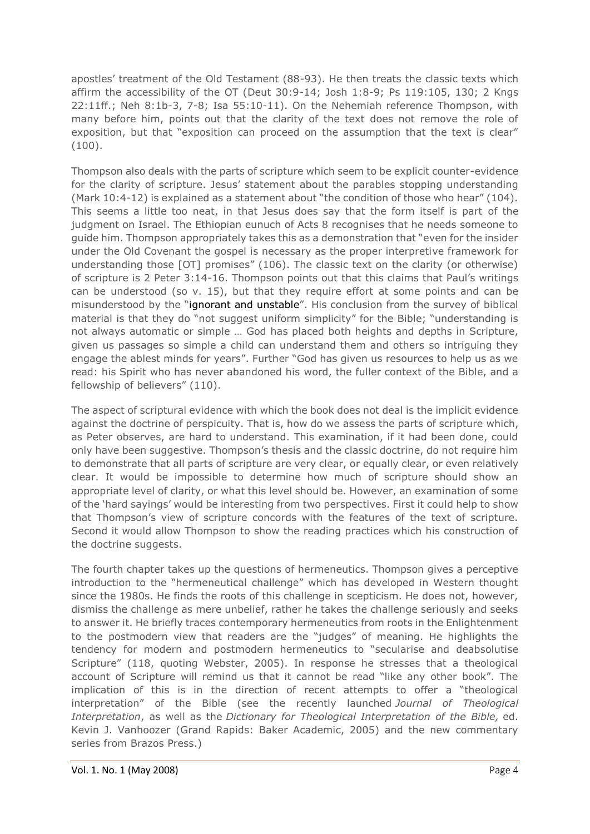apostles' treatment of the Old Testament (88-93). He then treats the classic texts which affirm the accessibility of the OT (Deut 30:9-14; Josh 1:8-9; Ps 119:105, 130; 2 Kngs 22:11ff.; Neh 8:1b-3, 7-8; Isa 55:10-11). On the Nehemiah reference Thompson, with many before him, points out that the clarity of the text does not remove the role of exposition, but that "exposition can proceed on the assumption that the text is clear" (100).

Thompson also deals with the parts of scripture which seem to be explicit counter-evidence for the clarity of scripture. Jesus' statement about the parables stopping understanding (Mark 10:4-12) is explained as a statement about "the condition of those who hear" (104). This seems a little too neat, in that Jesus does say that the form itself is part of the judgment on Israel. The Ethiopian eunuch of Acts 8 recognises that he needs someone to guide him. Thompson appropriately takes this as a demonstration that "even for the insider under the Old Covenant the gospel is necessary as the proper interpretive framework for understanding those [OT] promises" (106). The classic text on the clarity (or otherwise) of scripture is 2 Peter 3:14-16. Thompson points out that this claims that Paul's writings can be understood (so v. 15), but that they require effort at some points and can be misunderstood by the "ignorant and unstable". His conclusion from the survey of biblical material is that they do "not suggest uniform simplicity" for the Bible; "understanding is not always automatic or simple … God has placed both heights and depths in Scripture, given us passages so simple a child can understand them and others so intriguing they engage the ablest minds for years". Further "God has given us resources to help us as we read: his Spirit who has never abandoned his word, the fuller context of the Bible, and a fellowship of believers" (110).

The aspect of scriptural evidence with which the book does not deal is the implicit evidence against the doctrine of perspicuity. That is, how do we assess the parts of scripture which, as Peter observes, are hard to understand. This examination, if it had been done, could only have been suggestive. Thompson's thesis and the classic doctrine, do not require him to demonstrate that all parts of scripture are very clear, or equally clear, or even relatively clear. It would be impossible to determine how much of scripture should show an appropriate level of clarity, or what this level should be. However, an examination of some of the 'hard sayings' would be interesting from two perspectives. First it could help to show that Thompson's view of scripture concords with the features of the text of scripture. Second it would allow Thompson to show the reading practices which his construction of the doctrine suggests.

The fourth chapter takes up the questions of hermeneutics. Thompson gives a perceptive introduction to the "hermeneutical challenge" which has developed in Western thought since the 1980s. He finds the roots of this challenge in scepticism. He does not, however, dismiss the challenge as mere unbelief, rather he takes the challenge seriously and seeks to answer it. He briefly traces contemporary hermeneutics from roots in the Enlightenment to the postmodern view that readers are the "judges" of meaning. He highlights the tendency for modern and postmodern hermeneutics to "secularise and deabsolutise Scripture" (118, quoting Webster, 2005). In response he stresses that a theological account of Scripture will remind us that it cannot be read "like any other book". The implication of this is in the direction of recent attempts to offer a "theological interpretation" of the Bible (see the recently launched *Journal of Theological Interpretation*, as well as the *Dictionary for Theological Interpretation of the Bible,* ed. Kevin J. Vanhoozer (Grand Rapids: Baker Academic, 2005) and the new commentary series from Brazos Press.)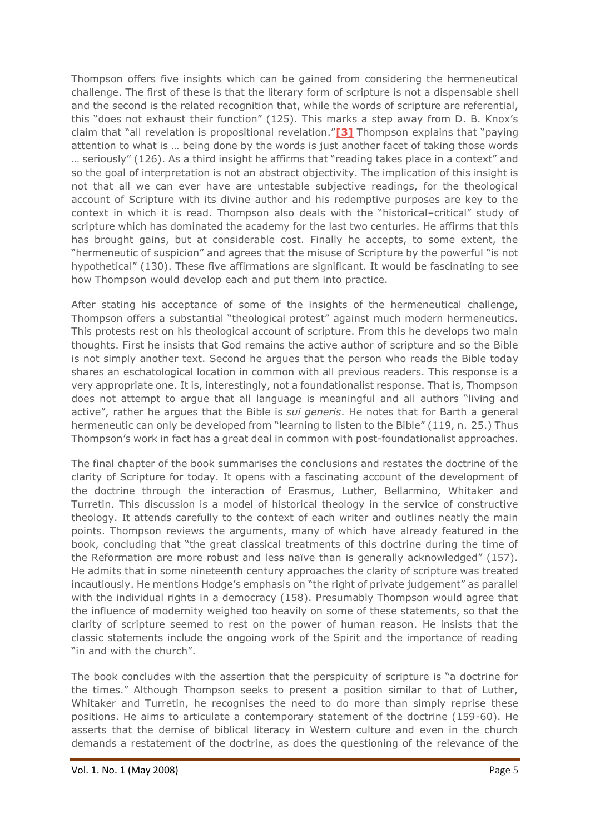Thompson offers five insights which can be gained from considering the hermeneutical challenge. The first of these is that the literary form of scripture is not a dispensable shell and the second is the related recognition that, while the words of scripture are referential, this "does not exhaust their function" (125). This marks a step away from D. B. Knox's claim that "all revelation is propositional revelation."**[\[3\]](http://www.ea.org.au/Crucible/Issues/Mark-Thompson--A-Clear-and-Present-Word#_ftn3)** Thompson explains that "paying attention to what is … being done by the words is just another facet of taking those words … seriously" (126). As a third insight he affirms that "reading takes place in a context" and so the goal of interpretation is not an abstract objectivity. The implication of this insight is not that all we can ever have are untestable subjective readings, for the theological account of Scripture with its divine author and his redemptive purposes are key to the context in which it is read. Thompson also deals with the "historical–critical" study of scripture which has dominated the academy for the last two centuries. He affirms that this has brought gains, but at considerable cost. Finally he accepts, to some extent, the "hermeneutic of suspicion" and agrees that the misuse of Scripture by the powerful "is not hypothetical" (130). These five affirmations are significant. It would be fascinating to see how Thompson would develop each and put them into practice.

After stating his acceptance of some of the insights of the hermeneutical challenge, Thompson offers a substantial "theological protest" against much modern hermeneutics. This protests rest on his theological account of scripture. From this he develops two main thoughts. First he insists that God remains the active author of scripture and so the Bible is not simply another text. Second he argues that the person who reads the Bible today shares an eschatological location in common with all previous readers. This response is a very appropriate one. It is, interestingly, not a foundationalist response. That is, Thompson does not attempt to argue that all language is meaningful and all authors "living and active", rather he argues that the Bible is *sui generis*. He notes that for Barth a general hermeneutic can only be developed from "learning to listen to the Bible" (119, n. 25.) Thus Thompson's work in fact has a great deal in common with post-foundationalist approaches.

The final chapter of the book summarises the conclusions and restates the doctrine of the clarity of Scripture for today. It opens with a fascinating account of the development of the doctrine through the interaction of Erasmus, Luther, Bellarmino, Whitaker and Turretin. This discussion is a model of historical theology in the service of constructive theology. It attends carefully to the context of each writer and outlines neatly the main points. Thompson reviews the arguments, many of which have already featured in the book, concluding that "the great classical treatments of this doctrine during the time of the Reformation are more robust and less naïve than is generally acknowledged" (157). He admits that in some nineteenth century approaches the clarity of scripture was treated incautiously. He mentions Hodge's emphasis on "the right of private judgement" as parallel with the individual rights in a democracy (158). Presumably Thompson would agree that the influence of modernity weighed too heavily on some of these statements, so that the clarity of scripture seemed to rest on the power of human reason. He insists that the classic statements include the ongoing work of the Spirit and the importance of reading "in and with the church".

The book concludes with the assertion that the perspicuity of scripture is "a doctrine for the times." Although Thompson seeks to present a position similar to that of Luther, Whitaker and Turretin, he recognises the need to do more than simply reprise these positions. He aims to articulate a contemporary statement of the doctrine (159-60). He asserts that the demise of biblical literacy in Western culture and even in the church demands a restatement of the doctrine, as does the questioning of the relevance of the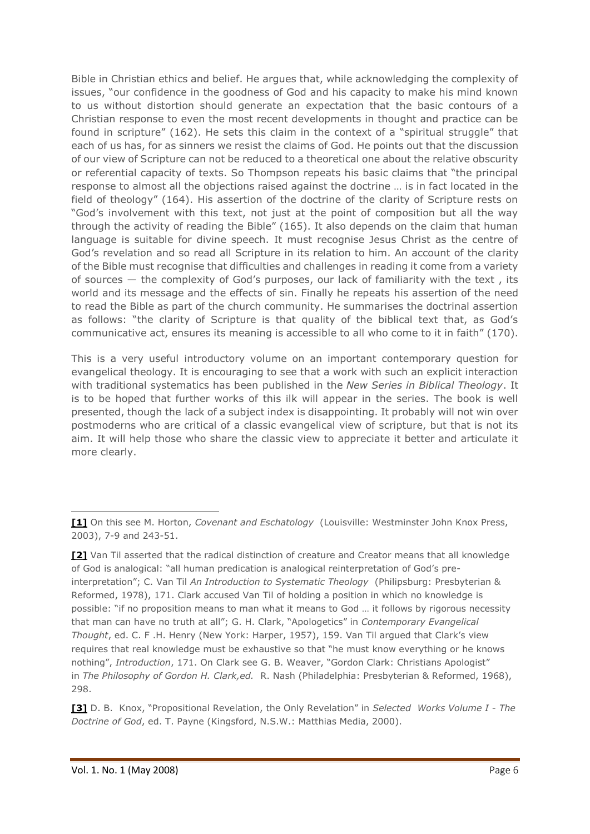Bible in Christian ethics and belief. He argues that, while acknowledging the complexity of issues, "our confidence in the goodness of God and his capacity to make his mind known to us without distortion should generate an expectation that the basic contours of a Christian response to even the most recent developments in thought and practice can be found in scripture" (162). He sets this claim in the context of a "spiritual struggle" that each of us has, for as sinners we resist the claims of God. He points out that the discussion of our view of Scripture can not be reduced to a theoretical one about the relative obscurity or referential capacity of texts. So Thompson repeats his basic claims that "the principal response to almost all the objections raised against the doctrine … is in fact located in the field of theology" (164). His assertion of the doctrine of the clarity of Scripture rests on "God's involvement with this text, not just at the point of composition but all the way through the activity of reading the Bible" (165). It also depends on the claim that human language is suitable for divine speech. It must recognise Jesus Christ as the centre of God's revelation and so read all Scripture in its relation to him. An account of the clarity of the Bible must recognise that difficulties and challenges in reading it come from a variety of sources — the complexity of God's purposes, our lack of familiarity with the text , its world and its message and the effects of sin. Finally he repeats his assertion of the need to read the Bible as part of the church community. He summarises the doctrinal assertion as follows: "the clarity of Scripture is that quality of the biblical text that, as God's communicative act, ensures its meaning is accessible to all who come to it in faith" (170).

This is a very useful introductory volume on an important contemporary question for evangelical theology. It is encouraging to see that a work with such an explicit interaction with traditional systematics has been published in the *New Series in Biblical Theology*. It is to be hoped that further works of this ilk will appear in the series. The book is well presented, though the lack of a subject index is disappointing. It probably will not win over postmoderns who are critical of a classic evangelical view of scripture, but that is not its aim. It will help those who share the classic view to appreciate it better and articulate it more clearly.

**[<sup>\[1\]</sup>](http://www.ea.org.au/Crucible/Issues/Mark-Thompson--A-Clear-and-Present-Word#_ftnref1)** On this see M. Horton, *Covenant and Eschatology* (Louisville: Westminster John Knox Press, 2003), 7-9 and 243-51.

**[<sup>\[2\]</sup>](http://www.ea.org.au/Crucible/Issues/Mark-Thompson--A-Clear-and-Present-Word#_ftnref2)** Van Til asserted that the radical distinction of creature and Creator means that all knowledge of God is analogical: "all human predication is analogical reinterpretation of God's preinterpretation"; C. Van Til *An Introduction to Systematic Theology* (Philipsburg: Presbyterian & Reformed, 1978), 171. Clark accused Van Til of holding a position in which no knowledge is possible: "if no proposition means to man what it means to God … it follows by rigorous necessity that man can have no truth at all"; G. H. Clark, "Apologetics" in *Contemporary Evangelical Thought*, ed. C. F .H. Henry (New York: Harper, 1957), 159. Van Til argued that Clark's view requires that real knowledge must be exhaustive so that "he must know everything or he knows nothing", *Introduction*, 171. On Clark see G. B. Weaver, "Gordon Clark: Christians Apologist" in *The Philosophy of Gordon H. Clark,ed.* R. Nash (Philadelphia: Presbyterian & Reformed, 1968), 298.

**[<sup>\[3\]</sup>](http://www.ea.org.au/Crucible/Issues/Mark-Thompson--A-Clear-and-Present-Word#_ftnref3)** D. B. Knox, "Propositional Revelation, the Only Revelation" in *Selected Works Volume I - The Doctrine of God*, ed. T. Payne (Kingsford, N.S.W.: Matthias Media, 2000).